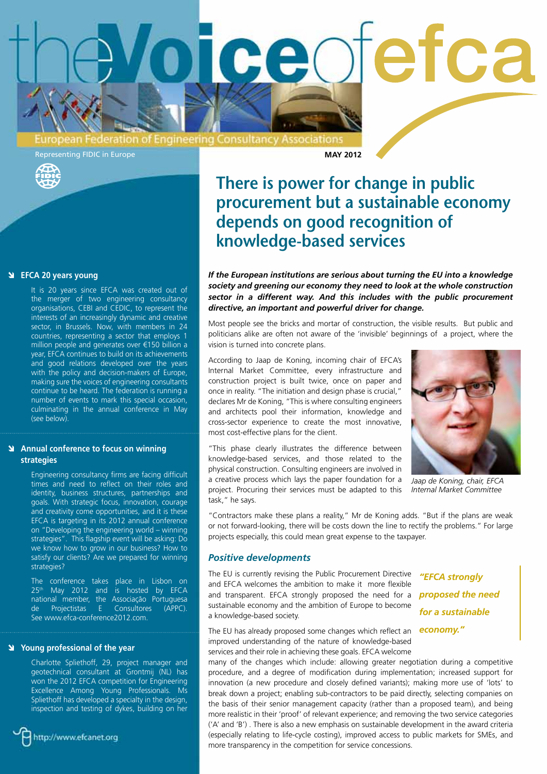

Representing FIDIC in Europe **MAY 2012** 

# **There is power for change in public procurement but a sustainable economy depends on good recognition of knowledge-based services**

*If the European institutions are serious about turning the EU into a knowledge society and greening our economy they need to look at the whole construction sector in a different way. And this includes with the public procurement directive, an important and powerful driver for change.*

Most people see the bricks and mortar of construction, the visible results. But public and politicians alike are often not aware of the 'invisible' beginnings of a project, where the vision is turned into concrete plans.

According to Jaap de Koning, incoming chair of EFCA's Internal Market Committee, every infrastructure and construction project is built twice, once on paper and once in reality. "The initiation and design phase is crucial," declares Mr de Koning, "This is where consulting engineers and architects pool their information, knowledge and cross-sector experience to create the most innovative, most cost-effective plans for the client.

*Jaap de Koning, chair, EFCA Internal Market Committee*

"This phase clearly illustrates the difference between knowledge-based services, and those related to the physical construction. Consulting engineers are involved in a creative process which lays the paper foundation for a project. Procuring their services must be adapted to this task," he says.

"Contractors make these plans a reality," Mr de Koning adds. "But if the plans are weak or not forward-looking, there will be costs down the line to rectify the problems." For large projects especially, this could mean great expense to the taxpayer.

#### *Positive developments*

The EU is currently revising the Public Procurement Directive and EFCA welcomes the ambition to make it more flexible and transparent. EFCA strongly proposed the need for a *proposed the need*  sustainable economy and the ambition of Europe to become a knowledge-based society.

The EU has already proposed some changes which reflect an *economy."*improved understanding of the nature of knowledge-based services and their role in achieving these goals. EFCA welcome

more transparency in the competition for service concessions.

*"EFCA strongly for a sustainable* 

many of the changes which include: allowing greater negotiation during a competitive procedure, and a degree of modification during implementation; increased support for innovation (a new procedure and closely defined variants); making more use of 'lots' to break down a project; enabling sub-contractors to be paid directly, selecting companies on the basis of their senior management capacity (rather than a proposed team), and being more realistic in their 'proof' of relevant experience; and removing the two service categories ('A' and 'B') . There is also a new emphasis on sustainable development in the award criteria (especially relating to life-cycle costing), improved access to public markets for SMEs, and

#### **EFCA 20 years young**

It is 20 years since EFCA was created out of the merger of two engineering consultancy organisations, CEBI and CEDIC, to represent the interests of an increasingly dynamic and creative sector, in Brussels. Now, with members in 24 countries, representing a sector that employs 1 million people and generates over €150 billion a year, EFCA continues to build on its achievements and good relations developed over the years with the policy and decision-makers of Europe, making sure the voices of engineering consultants continue to be heard. The federation is running a number of events to mark this special occasion, culminating in the annual conference in May (see below).

# **Annual conference to focus on winning strategies**

Engineering consultancy firms are facing difficult times and need to reflect on their roles and identity, business structures, partnerships and goals. With strategic focus, innovation, courage and creativity come opportunities, and it is these EFCA is targeting in its 2012 annual conference on "Developing the engineering world – winning strategies". This flagship event will be asking: Do we know how to grow in our business? How to satisfy our clients? Are we prepared for winning strategies?

The conference takes place in Lisbon on 25<sup>th</sup> May 2012 and is hosted by EFCA national member, the Associação Portuguesa Projectistas E Consultores (APPC). See www.efca-conference2012.com.

#### **Young professional of the year**

Charlotte Spliethoff, 29, project manager and geotechnical consultant at Grontmij (NL) has won the 2012 EFCA competition for Engineering Excellence Among Young Professionals. Ms Spliethoff has developed a specialty in the design, inspection and testing of dykes, building on her